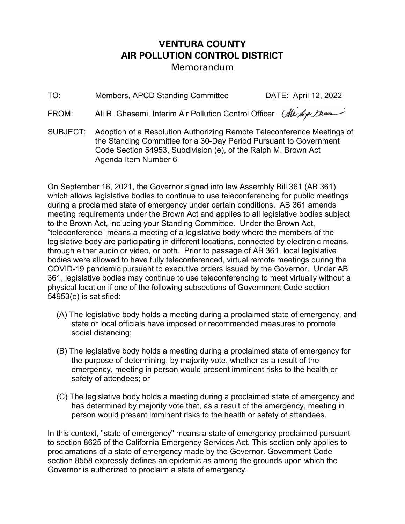## VENTURA COUNTY AIR POLLUTION CONTROL DISTRICT Memorandum

TO: Members, APCD Standing Committee DATE: April 12, 2022

FROM: Ali R. Ghasemi, Interim Air Pollution Control Officer *(All for Bhaa*)

SUBJECT: Adoption of a Resolution Authorizing Remote Teleconference Meetings of the Standing Committee for a 30-Day Period Pursuant to Government Code Section 54953, Subdivision (e), of the Ralph M. Brown Act Agenda Item Number 6

On September 16, 2021, the Governor signed into law Assembly Bill 361 (AB 361) which allows legislative bodies to continue to use teleconferencing for public meetings during a proclaimed state of emergency under certain conditions. AB 361 amends meeting requirements under the Brown Act and applies to all legislative bodies subject to the Brown Act, including your Standing Committee. Under the Brown Act, "teleconference" means a meeting of a legislative body where the members of the legislative body are participating in different locations, connected by electronic means, through either audio or video, or both. Prior to passage of AB 361, local legislative bodies were allowed to have fully teleconferenced, virtual remote meetings during the COVID-19 pandemic pursuant to executive orders issued by the Governor. Under AB 361, legislative bodies may continue to use teleconferencing to meet virtually without a physical location if one of the following subsections of Government Code section 54953(e) is satisfied:

- (A) The legislative body holds a meeting during a proclaimed state of emergency, and state or local officials have imposed or recommended measures to promote social distancing;
- (B) The legislative body holds a meeting during a proclaimed state of emergency for the purpose of determining, by majority vote, whether as a result of the emergency, meeting in person would present imminent risks to the health or safety of attendees; or
- (C) The legislative body holds a meeting during a proclaimed state of emergency and has determined by majority vote that, as a result of the emergency, meeting in person would present imminent risks to the health or safety of attendees.

In this context, "state of emergency" means a state of emergency proclaimed pursuant to section 8625 of the California Emergency Services Act. This section only applies to proclamations of a state of emergency made by the Governor. Government Code section 8558 expressly defines an epidemic as among the grounds upon which the Governor is authorized to proclaim a state of emergency.